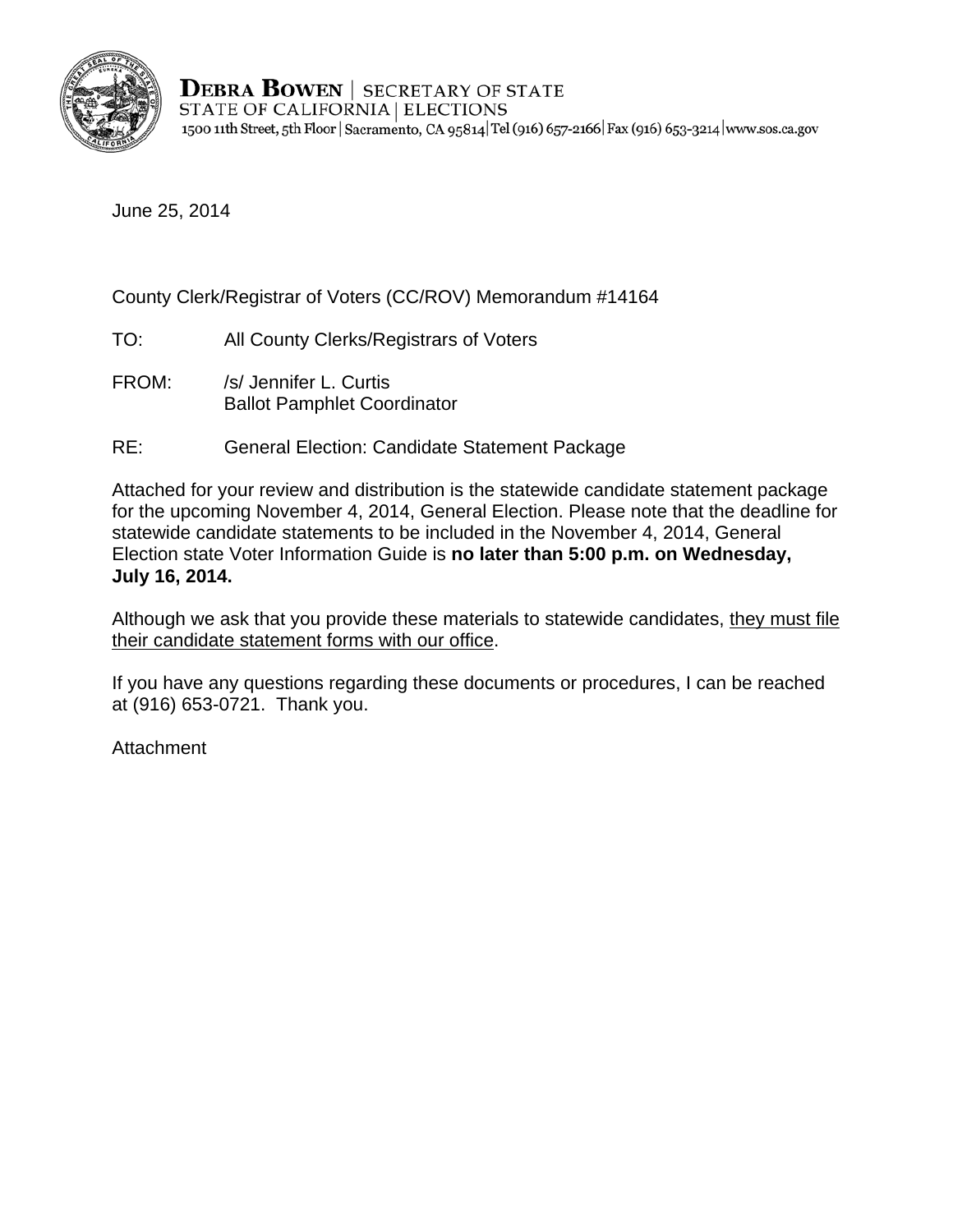

**DEBRA BOWEN | SECRETARY OF STATE** STATE OF CALIFORNIA | ELECTIONS 1500 11th Street, 5th Floor | Sacramento, CA 95814 | Tel (916) 657-2166 | Fax (916) 653-3214 | www.sos.ca.gov

June 25, 2014

## County Clerk/Registrar of Voters (CC/ROV) Memorandum #14164

- TO: All County Clerks/Registrars of Voters
- FROM: /s/ Jennifer L. Curtis Ballot Pamphlet Coordinator
- RE: General Election: Candidate Statement Package

Election state Voter Information Guide is **no later than 5:00 p.m. on Wednesday,**<br>**July 16, 2014.** Attached for your review and distribution is the statewide candidate statement package for the upcoming November 4, 2014, General Election. Please note that the deadline for statewide candidate statements to be included in the November 4, 2014, General

Although we ask that you provide these materials to statewide candidates, they must file their candidate statement forms with our office.

If you have any questions regarding these documents or procedures, I can be reached at (916) 653-0721. Thank you.

Attachment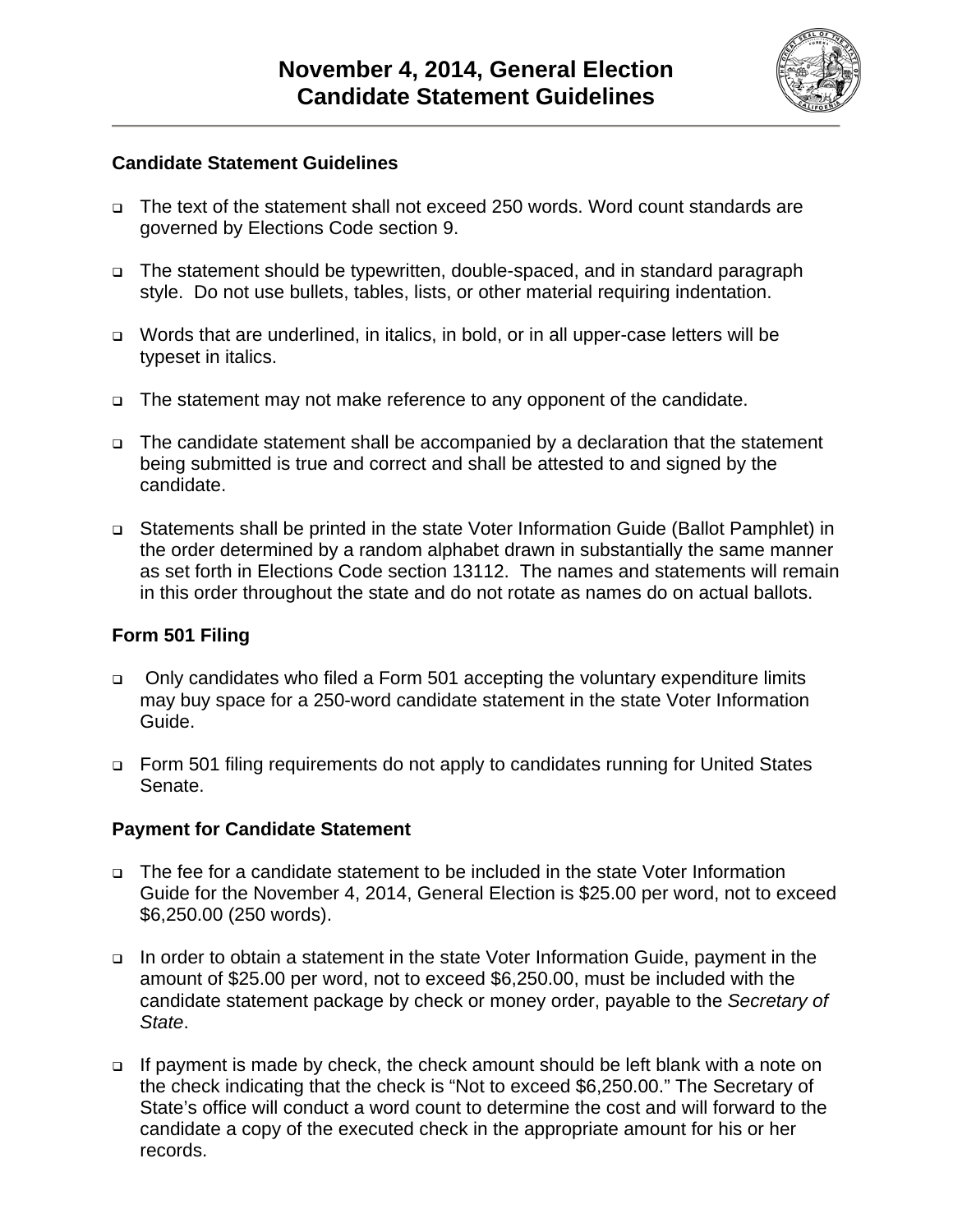

#### **Candidate Statement Guidelines**

- The text of the statement shall not exceed 250 words. Word count standards are governed by Elections Code section 9.
- The statement should be typewritten, double-spaced, and in standard paragraph style. Do not use bullets, tables, lists, or other material requiring indentation.
- □ Words that are underlined, in italics, in bold, or in all upper-case letters will be typeset in italics.
- □ The statement may not make reference to any opponent of the candidate.
- The candidate statement shall be accompanied by a declaration that the statement being submitted is true and correct and shall be attested to and signed by the candidate.
- Statements shall be printed in the state Voter Information Guide (Ballot Pamphlet) in the order determined by a random alphabet drawn in substantially the same manner as set forth in Elections Code section 13112. The names and statements will remain in this order throughout the state and do not rotate as names do on actual ballots.

#### **Form 501 Filing**

- Only candidates who filed a Form 501 accepting the voluntary expenditure limits may buy space for a 250-word candidate statement in the state Voter Information Guide.
- □ Form 501 filing requirements do not apply to candidates running for United States Senate.

#### **Payment for Candidate Statement**

- The fee for a candidate statement to be included in the state Voter Information Guide for the November 4, 2014, General Election is \$25.00 per word, not to exceed \$6,250.00 (250 words).
- In order to obtain a statement in the state Voter Information Guide, payment in the amount of \$25.00 per word, not to exceed \$6,250.00, must be included with the candidate statement package by check or money order, payable to the *Secretary of State*.
- □ If payment is made by check, the check amount should be left blank with a note on the check indicating that the check is "Not to exceed \$6,250.00." The Secretary of State's office will conduct a word count to determine the cost and will forward to the candidate a copy of the executed check in the appropriate amount for his or her records.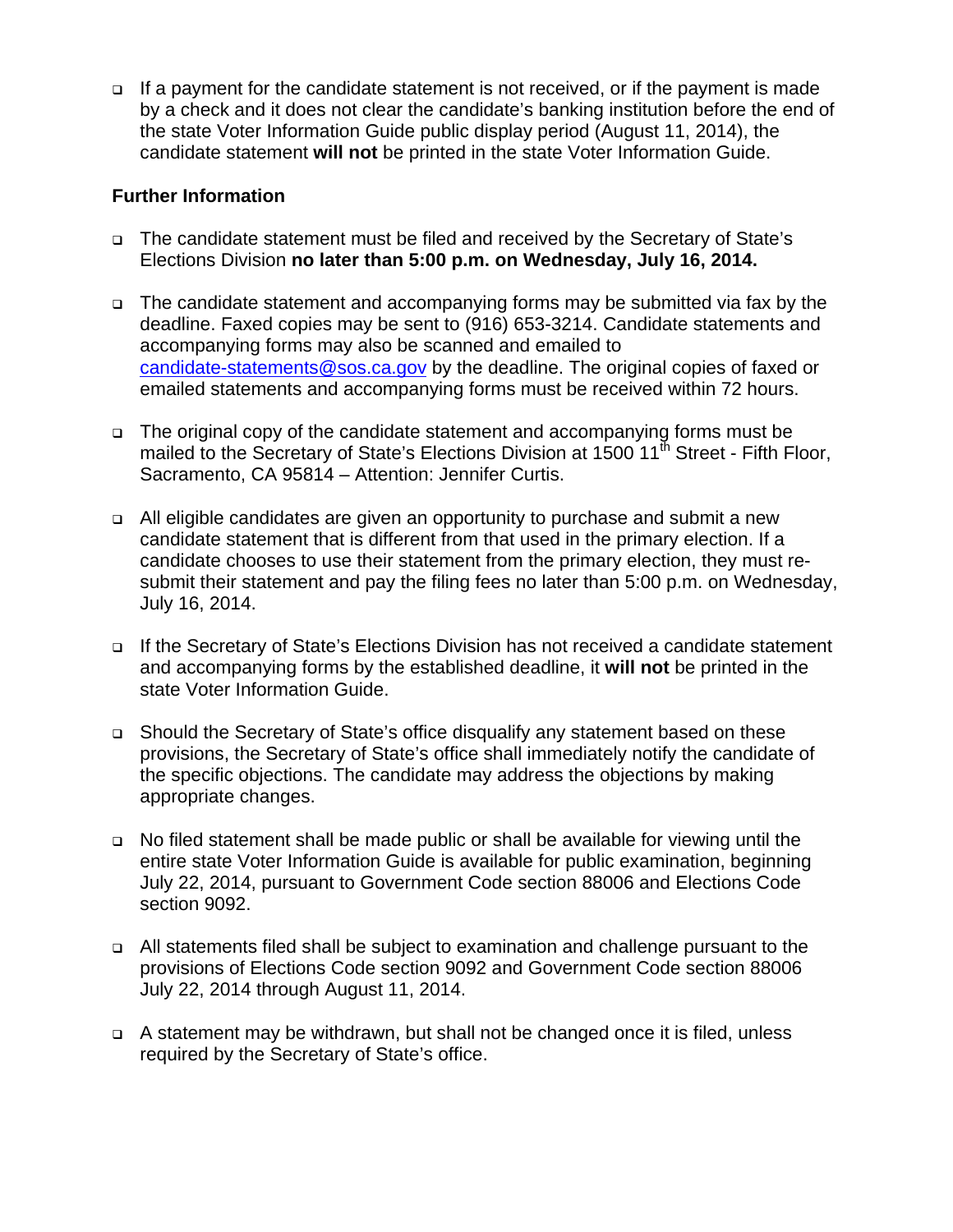If a payment for the candidate statement is not received, or if the payment is made by a check and it does not clear the candidate's banking institution before the end of the state Voter Information Guide public display period (August 11, 2014), the candidate statement **will not** be printed in the state Voter Information Guide.

### **Further Information**

- The candidate statement must be filed and received by the Secretary of State's Elections Division **no later than 5:00 p.m. on Wednesday, July 16, 2014.**
- The candidate statement and accompanying forms may be submitted via fax by the deadline. Faxed copies may be sent to (916) 653-3214. Candidate statements and accompanying forms may also be scanned and emailed to candidate-statements@sos.ca.gov by the deadline. The original copies of faxed or emailed statements and accompanying forms must be received within 72 hours.
- The original copy of the candidate statement and accompanying forms must be mailed to the Secretary of State's Elections Division at  $1500 \, 11^{\text{th}}$  Street - Fifth Floor, Sacramento, CA 95814 – Attention: Jennifer Curtis.
- All eligible candidates are given an opportunity to purchase and submit a new candidate statement that is different from that used in the primary election. If a candidate chooses to use their statement from the primary election, they must resubmit their statement and pay the filing fees no later than 5:00 p.m. on Wednesday, July 16, 2014.
- □ If the Secretary of State's Elections Division has not received a candidate statement and accompanying forms by the established deadline, it **will not** be printed in the state Voter Information Guide.
- Should the Secretary of State's office disqualify any statement based on these provisions, the Secretary of State's office shall immediately notify the candidate of the specific objections. The candidate may address the objections by making appropriate changes.
- No filed statement shall be made public or shall be available for viewing until the entire state Voter Information Guide is available for public examination, beginning July 22, 2014, pursuant to Government Code section 88006 and Elections Code section 9092.
- All statements filed shall be subject to examination and challenge pursuant to the provisions of Elections Code section 9092 and Government Code section 88006 July 22, 2014 through August 11, 2014.
- A statement may be withdrawn, but shall not be changed once it is filed, unless required by the Secretary of State's office.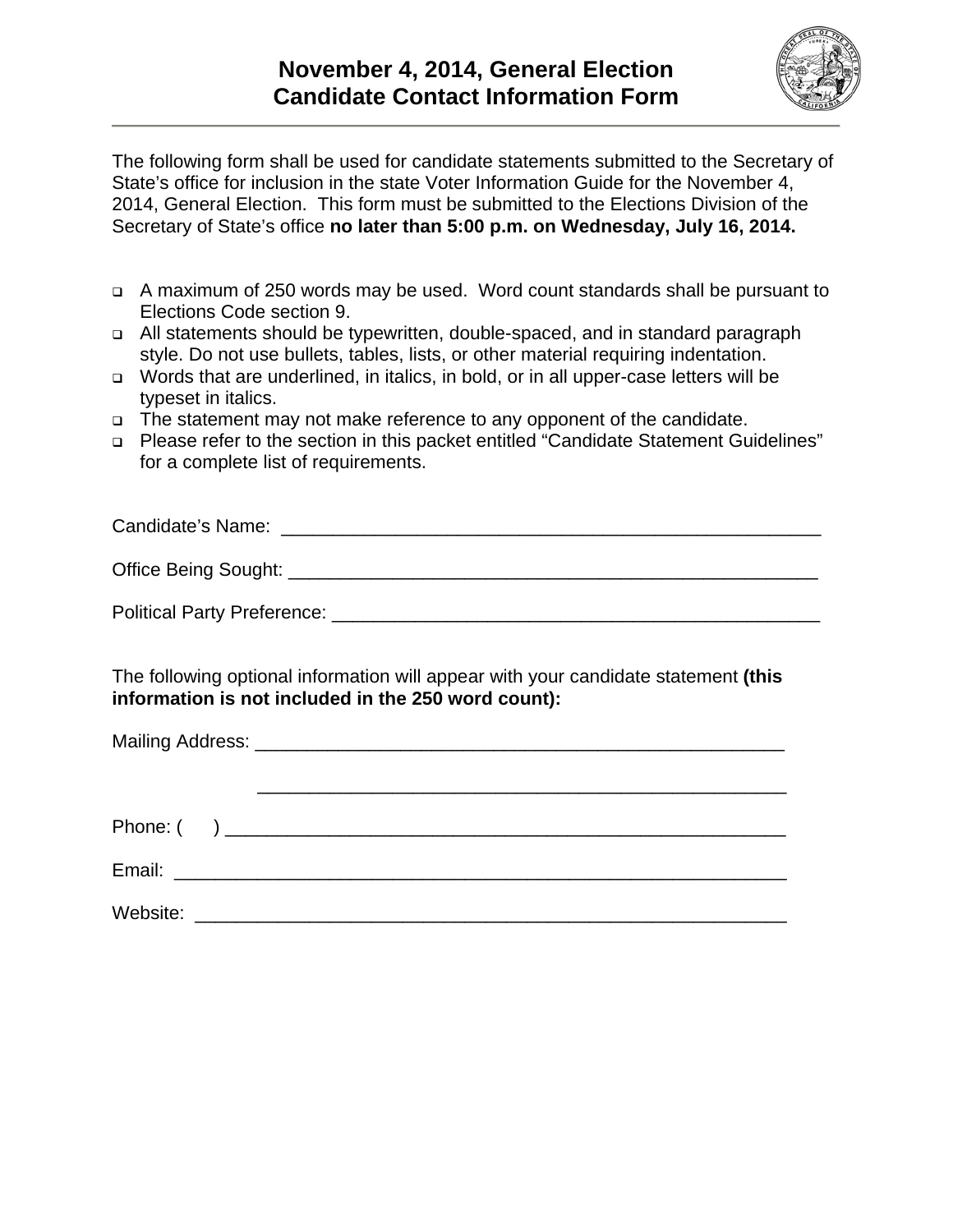

The following form shall be used for candidate statements submitted to the Secretary of State's office for inclusion in the state Voter Information Guide for the November 4, 2014, General Election. This form must be submitted to the Elections Division of the Secretary of State's office **no later than 5:00 p.m. on Wednesday, July 16, 2014.** 

- A maximum of 250 words may be used. Word count standards shall be pursuant to Elections Code section 9.
- All statements should be typewritten, double-spaced, and in standard paragraph style. Do not use bullets, tables, lists, or other material requiring indentation.
- □ Words that are underlined, in italics, in bold, or in all upper-case letters will be typeset in italics.
- □ The statement may not make reference to any opponent of the candidate.
- Please refer to the section in this packet entitled "Candidate Statement Guidelines" for a complete list of requirements.

| Candidate's Name:    |  |
|----------------------|--|
| Office Being Sought: |  |

Political Party Preference: **Example 2018** 

The following optional information will appear with your candidate statement **(this information is not included in the 250 word count):** 

| Website: <u>___________________________________</u> |  |  |
|-----------------------------------------------------|--|--|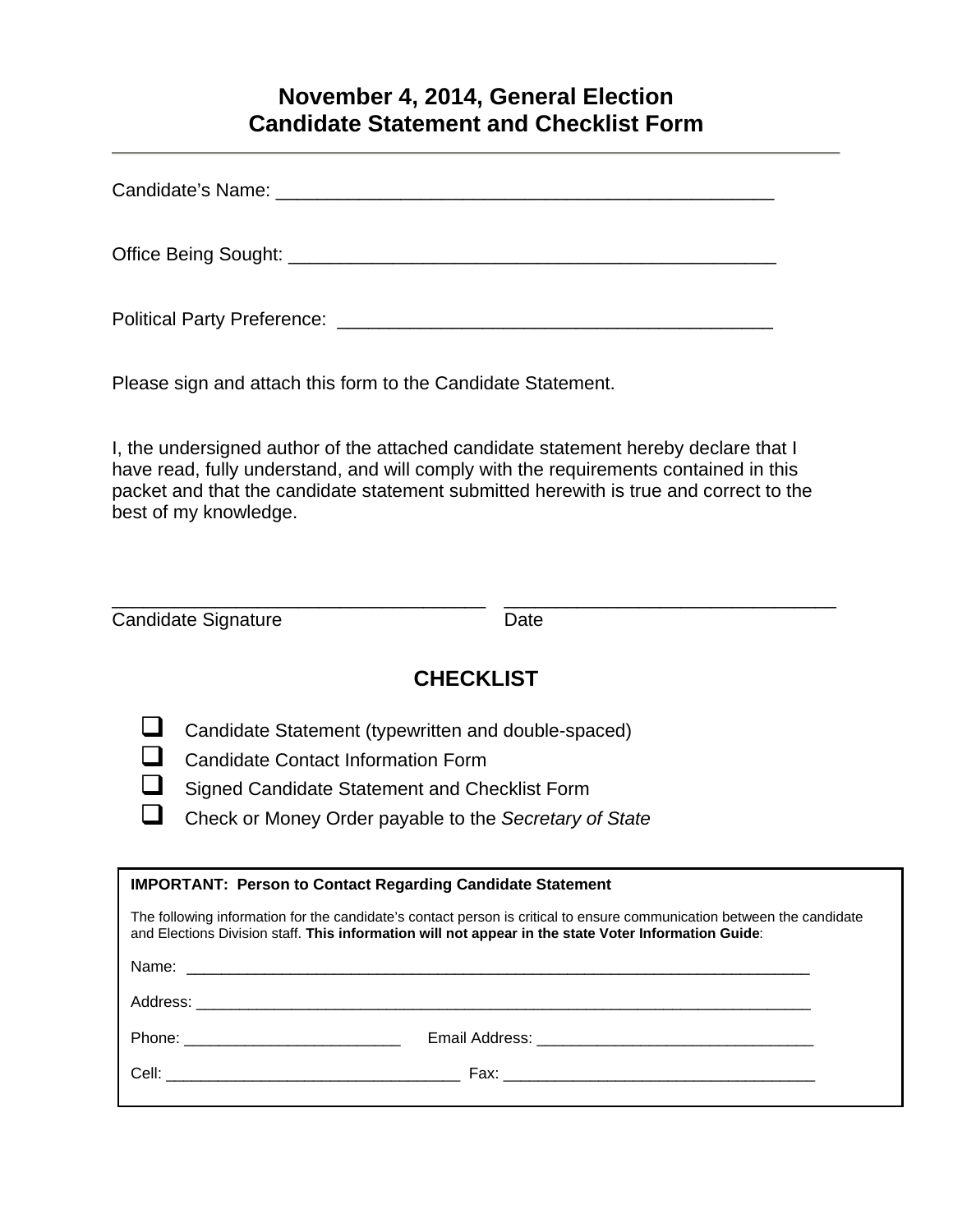## **November 4, 2014, General Election Candidate Statement and Checklist Form**

| Candidate's Name: The Candidate's Name: |  |  |
|-----------------------------------------|--|--|
|                                         |  |  |
| <b>Political Party Preference:</b>      |  |  |

Please sign and attach this form to the Candidate Statement.

I, the undersigned author of the attached candidate statement hereby declare that I have read, fully understand, and will comply with the requirements contained in this packet and that the candidate statement submitted herewith is true and correct to the best of my knowledge.

| Candidate Signature | Date |  |
|---------------------|------|--|

# **CHECKLIST**

Candidate Statement (typewritten and double-spaced)

**Q** Candidate Contact Information Form

Signed Candidate Statement and Checklist Form

Check or Money Order payable to the *Secretary of State*

| <b>IMPORTANT: Person to Contact Regarding Candidate Statement</b>                                                                                                                                                              |  |  |
|--------------------------------------------------------------------------------------------------------------------------------------------------------------------------------------------------------------------------------|--|--|
| The following information for the candidate's contact person is critical to ensure communication between the candidate<br>and Elections Division staff. This information will not appear in the state Voter Information Guide: |  |  |
|                                                                                                                                                                                                                                |  |  |
|                                                                                                                                                                                                                                |  |  |
|                                                                                                                                                                                                                                |  |  |
|                                                                                                                                                                                                                                |  |  |